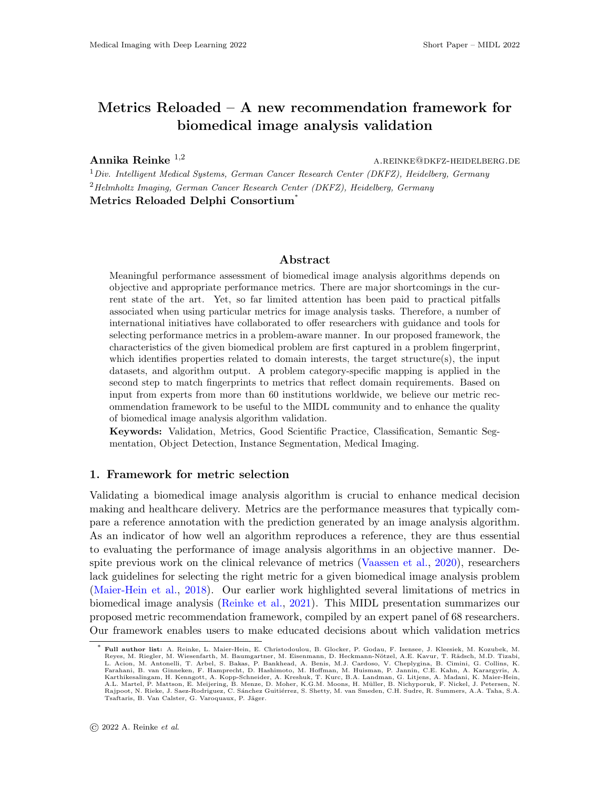# Metrics Reloaded – A new recommendation framework for biomedical image analysis validation

**Annika Reinke**  $^{1,2}$  a.reinke@dkfz-heidelberg.default.

 $1$ Div. Intelligent Medical Systems, German Cancer Research Center (DKFZ), Heidelberg, Germany  $2$ Helmholtz Imaging, German Cancer Research Center (DKFZ), Heidelberg, Germany Metrics Reloaded Delphi Consortium<sup>®</sup>

#### Abstract

Meaningful performance assessment of biomedical image analysis algorithms depends on objective and appropriate performance metrics. There are major shortcomings in the current state of the art. Yet, so far limited attention has been paid to practical pitfalls associated when using particular metrics for image analysis tasks. Therefore, a number of international initiatives have collaborated to offer researchers with guidance and tools for selecting performance metrics in a problem-aware manner. In our proposed framework, the characteristics of the given biomedical problem are first captured in a problem fingerprint, which identifies properties related to domain interests, the target structure(s), the input datasets, and algorithm output. A problem category-specific mapping is applied in the second step to match fingerprints to metrics that reflect domain requirements. Based on input from experts from more than 60 institutions worldwide, we believe our metric recommendation framework to be useful to the MIDL community and to enhance the quality of biomedical image analysis algorithm validation.

Keywords: Validation, Metrics, Good Scientific Practice, Classification, Semantic Segmentation, Object Detection, Instance Segmentation, Medical Imaging.

### 1. Framework for metric selection

Validating a biomedical image analysis algorithm is crucial to enhance medical decision making and healthcare delivery. Metrics are the performance measures that typically compare a reference annotation with the prediction generated by an image analysis algorithm. As an indicator of how well an algorithm reproduces a reference, they are thus essential to evaluating the performance of image analysis algorithms in an objective manner. Despite previous work on the clinical relevance of metrics [\(Vaassen et al.,](#page-2-0) [2020\)](#page-2-0), researchers lack guidelines for selecting the right metric for a given biomedical image analysis problem [\(Maier-Hein et al.,](#page-2-1) [2018\)](#page-2-1). Our earlier work highlighted several limitations of metrics in biomedical image analysis [\(Reinke et al.,](#page-2-2) [2021\)](#page-2-2). This MIDL presentation summarizes our proposed metric recommendation framework, compiled by an expert panel of 68 researchers. Our framework enables users to make educated decisions about which validation metrics

<sup>∗</sup> Full author list: A. Reinke, L. Maier-Hein, E. Christodoulou, B. Glocker, P. Godau, F. Isensee, J. Kleesiek, M. Kozubek, M. Reyes, M. Riegler, M. Wiesenfarth, M. Baumgartner, M. Eisenmann, D. Heckmann-Nötzel, A.E. Kavur, T. Rädsch, M.D. Tizabi,<br>L. Acion, M. Antonelli, T. Arbel, S. Bakas, P. Bankhead, A. Benis, M.J. Cardoso, V. Cheplygina, B. Ci Karthikesalingam, H. Kenngott, A. Kopp-Schneider, A. Kreshuk, T. Kurc, B.A. Landman, G. Litjens, A. Madani, K. Maier-Hein,<br>A.L. Martel, P. Mattson, E. Meijering, B. Menze, D. Moher, K.G.M. Moons, H. Müller, B. Nichyporuk, Tsaftaris, B. Van Calster, G. Varoquaux, P. Jäger.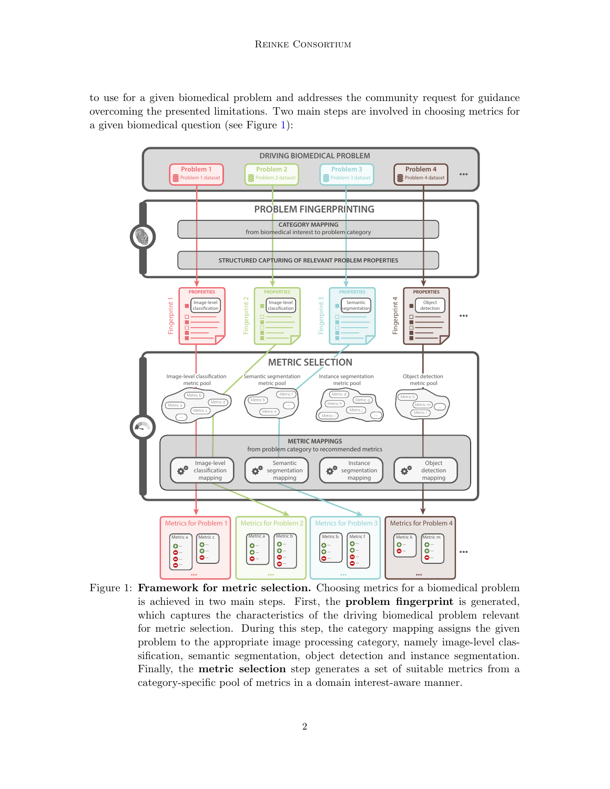to use for a given biomedical problem and addresses the community request for guidance overcoming the presented limitations. Two main steps are involved in choosing metrics for a given biomedical question (see Figure [1\)](#page-1-0):



<span id="page-1-0"></span>Figure 1: **Framework for metric selection.** Choosing metrics for a biomedical problem is achieved in two main steps. First, the problem fingerprint is generated, which captures the characteristics of the driving biomedical problem relevant for metric selection. During this step, the category mapping assigns the given problem to the appropriate image processing category, namely image-level classification, semantic segmentation, object detection and instance segmentation. Finally, the metric selection step generates a set of suitable metrics from a category-specific pool of metrics in a domain interest-aware manner.